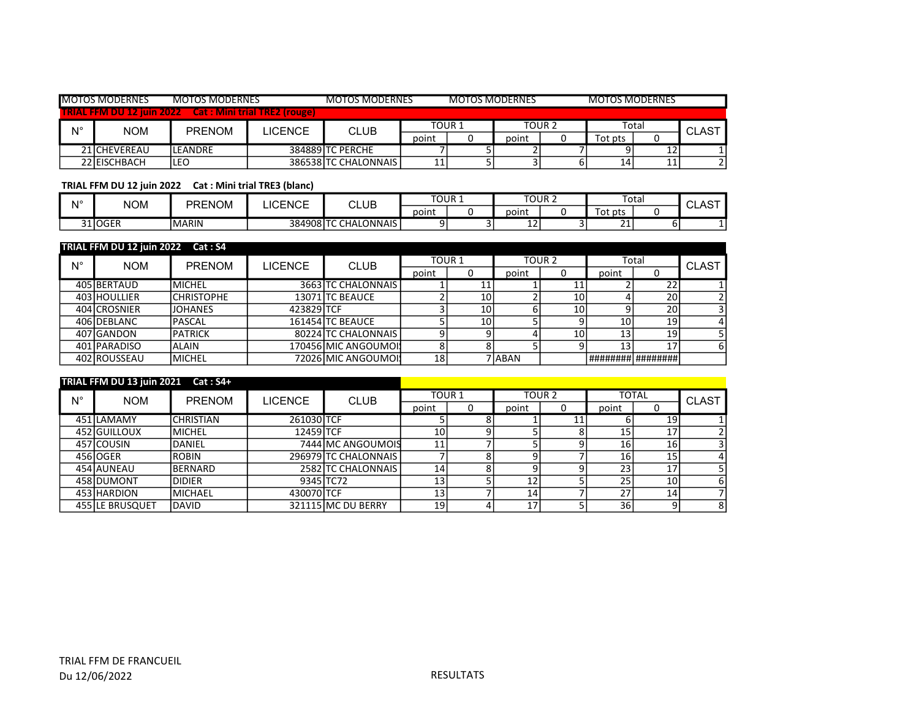|             | <b>MOTOS MODERNES</b> | <b>MOTOS MODERNES</b>                                          |         | <b>MOTOS MODERNES</b><br>MOTOS MODERNES |       |        |       | <b>MOTOS MODERNES</b> |         |   |              |
|-------------|-----------------------|----------------------------------------------------------------|---------|-----------------------------------------|-------|--------|-------|-----------------------|---------|---|--------------|
|             |                       | <b>TRIAL FFM DU 12 juin 2022 Cat : Mini trial TRE2 (rouge)</b> |         |                                         |       |        |       |                       |         |   |              |
| $N^{\circ}$ | <b>NOM</b>            | <b>PRENOM</b>                                                  | LICENCE | <b>CLUB</b>                             |       | TOUR 1 |       | TOUR 2                | Total   |   | <b>CLAST</b> |
|             |                       |                                                                |         |                                         | point |        | point |                       | rot pts |   |              |
|             | 21 CHEVEREAU          | ILEANDRE                                                       |         | 384889 TC PERCHE                        |       |        |       |                       |         | ᅭ |              |
|             | 22 EISCHBACH          | LEO                                                            |         | 386538 TC CHALONNAIS                    | 11    |        |       |                       | 14      | ᆠ |              |

TRIAL FFM DU 12 juin 2022 Cat : Mini trial TRE3 (blanc)

| N۰ | <b>NOM</b> | <b>PRENOM</b> | <b>ICENCE</b> | CLUB          | TOUR 1 |  | TOUR 2        |  | Total       |  | <b>CLAST</b> |
|----|------------|---------------|---------------|---------------|--------|--|---------------|--|-------------|--|--------------|
|    |            |               |               |               | point  |  | point         |  | ot pts      |  |              |
|    | 31 OGER    | MARIN         | 384908 TC     | TC CHALONNAIS |        |  | -<br><u>_</u> |  | $\sim$<br>ᅀ |  |              |

|             | TRIAL FFM DU 12 juin 2022 Cat: S4 |                   |                |                      |               |    |          |        |                 |          |              |
|-------------|-----------------------------------|-------------------|----------------|----------------------|---------------|----|----------|--------|-----------------|----------|--------------|
| $N^{\circ}$ | <b>NOM</b>                        | <b>PRENOM</b>     | <b>LICENCE</b> | <b>CLUB</b>          | <b>TOUR 1</b> |    |          | TOUR 2 |                 | Total    | <b>CLAST</b> |
|             |                                   |                   |                |                      | point         |    | point    |        | point           |          |              |
|             | 405 BERTAUD                       | <b>MICHEL</b>     |                | 3663 TC CHALONNAIS   |               |    |          | 11     |                 | 22       |              |
|             | 403 HOULLIER                      | <b>CHRISTOPHE</b> |                | 13071 TC BEAUCE      |               | 10 |          | 10     |                 | 20       |              |
|             | 404 CROSNIER                      | <b>JOHANES</b>    | 423829 TCF     |                      |               | 10 |          | 10     |                 | 20       |              |
|             | 406 DEBLANC                       | PASCAL            |                | 161454 TC BEAUCE     |               | 10 |          |        | 10 <sub>1</sub> | 19       |              |
|             | 407 GANDON                        | <b>PATRICK</b>    |                | 80224 TC CHALONNAIS  |               |    |          | 10     | 13 <sub>1</sub> | 19       |              |
|             | 401 PARADISO                      | ALAIN             |                | 170456 MIC ANGOUMOI! |               |    |          |        | 13              | 17       |              |
|             | 402 ROUSSEAU                      | <b>MICHEL</b>     |                | 72026 MIC ANGOUMOI!  | 18            |    | 7 I ABAN |        | ########        | ######## |              |

|             | TRIAL FFM DU 13 juin 2021 Cat: S4+ |                  |                |                      |       |               |       |                   |       |              |              |
|-------------|------------------------------------|------------------|----------------|----------------------|-------|---------------|-------|-------------------|-------|--------------|--------------|
| $N^{\circ}$ | <b>NOM</b>                         | <b>PRENOM</b>    | <b>LICENCE</b> | <b>CLUB</b>          |       | <b>TOUR 1</b> |       | TOUR <sub>2</sub> |       | <b>TOTAL</b> | <b>CLAST</b> |
|             |                                    |                  |                |                      | point | υ             | point | υ                 | point |              |              |
|             | 451 LAMAMY                         | <b>CHRISTIAN</b> | 261030 TCF     |                      |       | 8             |       | 11                |       | 19           |              |
|             | 452 GUILLOUX                       | <b>MICHEL</b>    | 12459 TCF      |                      | 10    |               |       |                   | 15    | 17           |              |
|             | 457 COUSIN                         | DANIEL           |                | 7444 MC ANGOUMOIS    | 11    |               |       |                   | 16    | 16           |              |
|             | 456 OGER                           | <b>ROBIN</b>     |                | 296979 TC CHALONNAIS |       |               |       |                   | 16    | 15           |              |
|             | 454 JAUNEAU                        | BERNARD          |                | 2582 ITC CHALONNAIS  | 14    |               |       |                   | 23    | 17           |              |
|             | 458IDUMONT                         | <b>DIDIER</b>    | 9345 TC72      |                      | 13    |               | 12    |                   | 25    | 10           | h            |
|             | 453 HARDION                        | <b>MICHAEL</b>   | 430070 TCF     |                      | 13    |               | 14    |                   | 27    | 14           |              |
|             | 455 LE BRUSQUET                    | IDAVID.          |                | 321115 MC DU BERRY   | 19    |               | 17    |                   | 36    |              | 8            |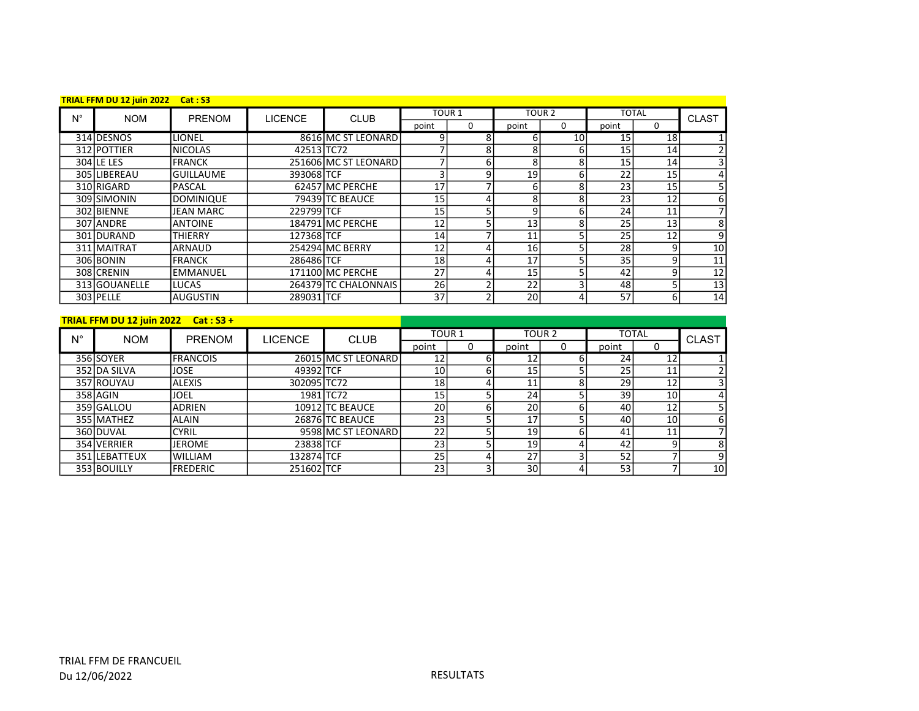|             | TRIAL FFM DU 12 juin 2022 Cat: S3 |                  |                |                      |                   |   |                   |        |       |                 |                 |
|-------------|-----------------------------------|------------------|----------------|----------------------|-------------------|---|-------------------|--------|-------|-----------------|-----------------|
| $N^{\circ}$ | <b>NOM</b>                        | PRENOM           | <b>LICENCE</b> | <b>CLUB</b>          | TOUR <sub>1</sub> |   |                   | TOUR 2 |       | <b>TOTAL</b>    | <b>CLAST</b>    |
|             |                                   |                  |                |                      | point             | 0 | point             | 0      | point | 0               |                 |
|             | 314 DESNOS                        | <b>LIONEL</b>    |                | 8616 MC ST LEONARD   |                   | 8 | h.                | 10     | 15    | 18              |                 |
|             | 312 POTTIER                       | <b>INICOLAS</b>  | 42513 TC72     |                      |                   | 8 |                   | 6      | 15    | 14              | $\overline{2}$  |
|             | 304 LE LES                        | <b>FRANCK</b>    |                | 251606 MC ST LEONARD |                   | 6 |                   | 8      | 15    | 14              | $\vert$ 3       |
|             | 305 LIBEREAU                      | <b>GUILLAUME</b> | 393068 TCF     |                      |                   | 9 | 19                | 6      | 22    | 15              | 4               |
|             | 310 RIGARD                        | PASCAL           |                | 62457 MC PERCHE      | 17                |   |                   | 8      | 23    | 15              |                 |
|             | 309 SIMONIN                       | <b>DOMINIQUE</b> |                | 79439 TC BEAUCE      | 15                |   |                   | 8      | 23    | 12              | $6 \mid$        |
|             | 302 BIENNE                        | JEAN MARC        | 229799 TCF     |                      | 15                |   | q                 | 6      | 24    | 11              |                 |
|             | 307 ANDRE                         | <b>ANTOINE</b>   |                | 184791 MC PERCHE     | 12                |   | 13                | 8      | 25    | 13 <sub>1</sub> | 8 <sup>1</sup>  |
|             | 301 DURAND                        | THIERRY          | 127368 TCF     |                      | 14                |   | 11                |        | 25    | 12              | $\overline{9}$  |
|             | 311 MAITRAT                       | ARNAUD           |                | 254294 MC BERRY      | 12                |   | 16I               |        | 28    | 9               | 10 <sup>1</sup> |
|             | 306 BONIN                         | <b>FRANCK</b>    | 286486 TCF     |                      | 18                |   | 17                |        | 35    |                 | 11              |
|             | 308 CRENIN                        | EMMANUEL         |                | 171100 MC PERCHE     | 27                | 4 | 15 <sup>1</sup>   |        | 42    |                 | 12              |
|             | 313 GOUANELLE                     | LUCAS            |                | 264379 TC CHALONNAIS | 26                |   | $22 \overline{)}$ |        | 48    |                 | 13              |
|             | 303 PELLE                         | laugustin        | 289031 TCF     |                      | 37                |   | 20                | 4      | 57    | 6               | 14              |

## TRIAL FFM DU 12 juin 2022 Cat : S3 +

| $N^{\circ}$ | <b>NOM</b>    | <b>PRENOM</b>   | <b>LICENCE</b> | <b>CLUB</b>         |                 | TOUR <sub>1</sub> |       | TOUR <sub>2</sub> |                 | <b>TOTAL</b>    | <b>CLAST</b> |
|-------------|---------------|-----------------|----------------|---------------------|-----------------|-------------------|-------|-------------------|-----------------|-----------------|--------------|
|             |               |                 |                |                     | point           | 0                 | point | 0                 | point           | υ               |              |
|             | 356 SOYER     | <b>FRANCOIS</b> |                | 26015 MC ST LEONARD | 12              |                   | 12 I  |                   | 24              | 12 <sub>1</sub> |              |
|             | 352 DA SILVA  | <b>JOSE</b>     | 49392 TCF      |                     | 10 <sub>1</sub> |                   | 15    |                   | 25              | 11              |              |
|             | 357 ROUYAU    | <b>ALEXIS</b>   | 302095 TC72    |                     | 18              |                   | 11    |                   | 29              | 12 <sub>1</sub> |              |
|             | 358 AGIN      | <b>JOEL</b>     |                | 1981 TC72           | 15              |                   | 24    |                   | 39 <sub>1</sub> | 10 <sup>1</sup> | 4            |
|             | 359 GALLOU    | <b>ADRIEN</b>   |                | 10912 TC BEAUCE     | 20              |                   | 20I   |                   | 40              | 12 <sub>1</sub> |              |
|             | 355 MATHEZ    | IALAIN          |                | 26876 TC BEAUCE     | 23              |                   | 17    |                   | 40              | 10I             | 6            |
|             | 360 DUVAL     | <b>CYRIL</b>    |                | 9598 MC ST LEONARD  | 22              |                   | 19    |                   | 41              | 11              |              |
|             | 354 VERRIER   | <b>JEROME</b>   | 23838 TCF      |                     | 23              |                   | 19    | 4                 | 42              |                 | 8            |
|             | 351 LEBATTEUX | lwilliam        | 132874 TCF     |                     | 25              |                   | 27    |                   | 52              |                 | 9            |
|             | 353 BOUILLY   | <b>FREDERIC</b> | 251602 TCF     |                     | 23              |                   | 30I   |                   | 53 <sub>1</sub> |                 | 10           |